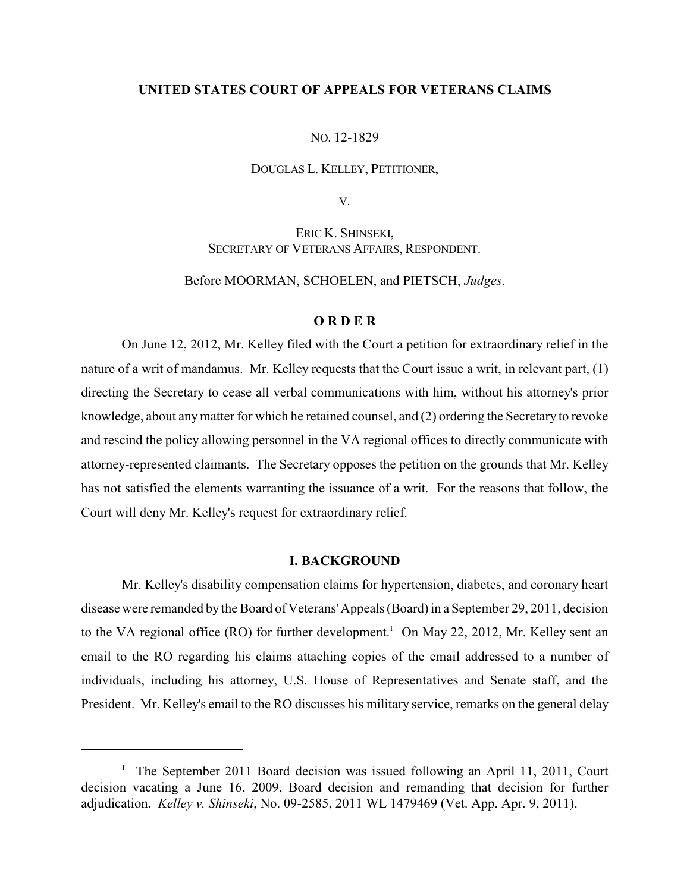## **UNITED STATES COURT OF APPEALS FOR VETERANS CLAIMS**

#### NO. 12-1829

#### DOUGLAS L. KELLEY, PETITIONER,

V.

ERIC K. SHINSEKI, SECRETARY OF VETERANS AFFAIRS, RESPONDENT.

Before MOORMAN, SCHOELEN, and PIETSCH, *Judges*.

### **O R D E R**

On June 12, 2012, Mr. Kelley filed with the Court a petition for extraordinary relief in the nature of a writ of mandamus. Mr. Kelley requests that the Court issue a writ, in relevant part, (1) directing the Secretary to cease all verbal communications with him, without his attorney's prior knowledge, about anymatter for which he retained counsel, and (2) ordering the Secretary to revoke and rescind the policy allowing personnel in the VA regional offices to directly communicate with attorney-represented claimants. The Secretary opposes the petition on the grounds that Mr. Kelley has not satisfied the elements warranting the issuance of a writ. For the reasons that follow, the Court will deny Mr. Kelley's request for extraordinary relief.

### **I. BACKGROUND**

Mr. Kelley's disability compensation claims for hypertension, diabetes, and coronary heart disease were remanded by the Board of Veterans'Appeals (Board)in a September 29, 2011, decision to the VA regional office (RO) for further development.<sup>1</sup> On May 22, 2012, Mr. Kelley sent an email to the RO regarding his claims attaching copies of the email addressed to a number of individuals, including his attorney, U.S. House of Representatives and Senate staff, and the President. Mr. Kelley's email to the RO discusses his military service, remarks on the general delay

The September 2011 Board decision was issued following an April 11, 2011, Court <sup>1</sup> decision vacating a June 16, 2009, Board decision and remanding that decision for further adjudication. *Kelley v. Shinseki*, No. 09-2585, 2011 WL 1479469 (Vet. App. Apr. 9, 2011).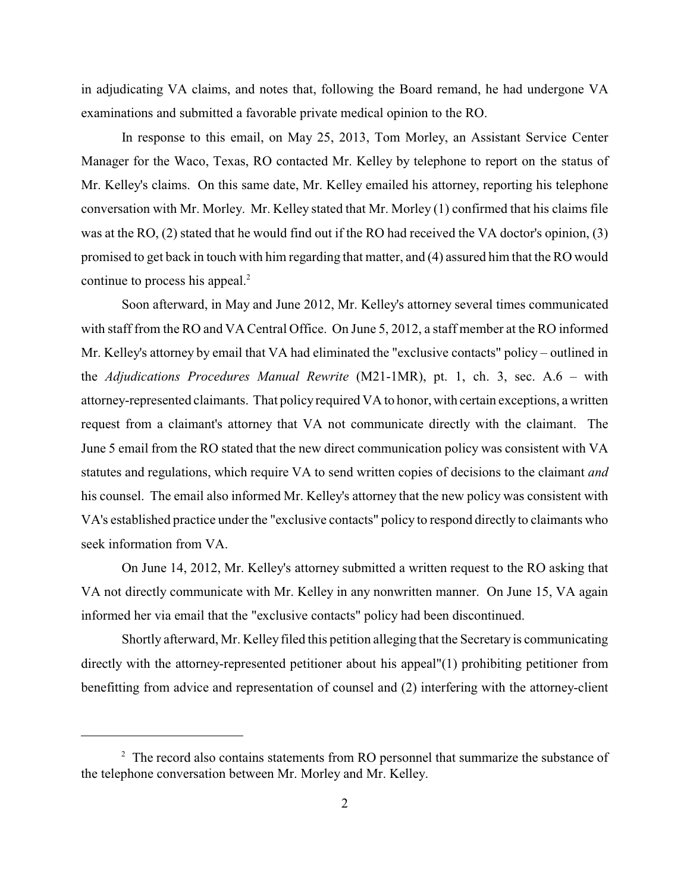in adjudicating VA claims, and notes that, following the Board remand, he had undergone VA examinations and submitted a favorable private medical opinion to the RO.

In response to this email, on May 25, 2013, Tom Morley, an Assistant Service Center Manager for the Waco, Texas, RO contacted Mr. Kelley by telephone to report on the status of Mr. Kelley's claims. On this same date, Mr. Kelley emailed his attorney, reporting his telephone conversation with Mr. Morley. Mr. Kelley stated that Mr. Morley (1) confirmed that his claims file was at the RO, (2) stated that he would find out if the RO had received the VA doctor's opinion, (3) promised to get back in touch with him regarding that matter, and (4) assured him that the RO would continue to process his appeal.<sup>2</sup>

Soon afterward, in May and June 2012, Mr. Kelley's attorney several times communicated with staff from the RO and VA Central Office. On June 5, 2012, a staff member at the RO informed Mr. Kelley's attorney by email that VA had eliminated the "exclusive contacts" policy – outlined in the *Adjudications Procedures Manual Rewrite* (M21-1MR), pt. 1, ch. 3, sec. A.6 – with attorney-represented claimants. That policyrequired VA to honor, with certain exceptions, a written request from a claimant's attorney that VA not communicate directly with the claimant. The June 5 email from the RO stated that the new direct communication policy was consistent with VA statutes and regulations, which require VA to send written copies of decisions to the claimant *and* his counsel. The email also informed Mr. Kelley's attorney that the new policy was consistent with VA's established practice under the "exclusive contacts" policy to respond directly to claimants who seek information from VA.

On June 14, 2012, Mr. Kelley's attorney submitted a written request to the RO asking that VA not directly communicate with Mr. Kelley in any nonwritten manner. On June 15, VA again informed her via email that the "exclusive contacts" policy had been discontinued.

Shortly afterward, Mr. Kelley filed this petition alleging that the Secretary is communicating directly with the attorney-represented petitioner about his appeal"(1) prohibiting petitioner from benefitting from advice and representation of counsel and (2) interfering with the attorney-client

 $2\degree$  The record also contains statements from RO personnel that summarize the substance of the telephone conversation between Mr. Morley and Mr. Kelley.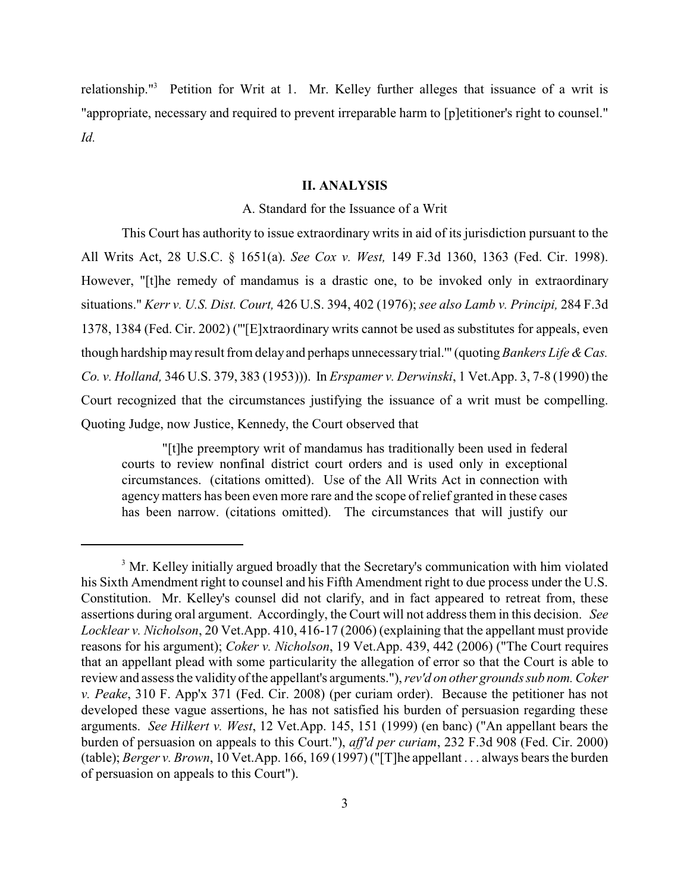relationship."<sup>3</sup> Petition for Writ at 1. Mr. Kelley further alleges that issuance of a writ is "appropriate, necessary and required to prevent irreparable harm to [p]etitioner's right to counsel." *Id.*

# **II. ANALYSIS**

## A. Standard for the Issuance of a Writ

This Court has authority to issue extraordinary writs in aid of its jurisdiction pursuant to the All Writs Act, 28 U.S.C. § 1651(a). *See Cox v. West,* 149 F.3d 1360, 1363 (Fed. Cir. 1998). However, "[t]he remedy of mandamus is a drastic one, to be invoked only in extraordinary situations." *Kerr v. U.S. Dist. Court,* 426 U.S. 394, 402 (1976); *see also Lamb v. Principi,* 284 F.3d 1378, 1384 (Fed. Cir. 2002) ("'[E]xtraordinary writs cannot be used as substitutes for appeals, even though hardship may result from delayand perhaps unnecessary trial.'" (quoting*Bankers Life &Cas. Co. v. Holland,* 346 U.S. 379, 383 (1953))). In *Erspamer v. Derwinski*, 1 Vet.App. 3, 7-8 (1990) the Court recognized that the circumstances justifying the issuance of a writ must be compelling. Quoting Judge, now Justice, Kennedy, the Court observed that

"[t]he preemptory writ of mandamus has traditionally been used in federal courts to review nonfinal district court orders and is used only in exceptional circumstances. (citations omitted). Use of the All Writs Act in connection with agencymatters has been even more rare and the scope of relief granted in these cases has been narrow. (citations omitted). The circumstances that will justify our

<sup>&</sup>lt;sup>3</sup> Mr. Kelley initially argued broadly that the Secretary's communication with him violated his Sixth Amendment right to counsel and his Fifth Amendment right to due process under the U.S. Constitution. Mr. Kelley's counsel did not clarify, and in fact appeared to retreat from, these assertions during oral argument. Accordingly, the Court will not address them in this decision. *See Locklear v. Nicholson*, 20 Vet.App. 410, 416-17 (2006) (explaining that the appellant must provide reasons for his argument); *Coker v. Nicholson*, 19 Vet.App. 439, 442 (2006) ("The Court requires that an appellant plead with some particularity the allegation of error so that the Court is able to review and assess the validity of the appellant's arguments."), *rev'd on other grounds sub nom. Coker v. Peake*, 310 F. App'x 371 (Fed. Cir. 2008) (per curiam order). Because the petitioner has not developed these vague assertions, he has not satisfied his burden of persuasion regarding these arguments. *See Hilkert v. West*, 12 Vet.App. 145, 151 (1999) (en banc) ("An appellant bears the burden of persuasion on appeals to this Court."), *aff'd per curiam*, 232 F.3d 908 (Fed. Cir. 2000) (table); *Berger v. Brown*, 10 Vet.App. 166, 169 (1997) ("[T]he appellant . . . always bears the burden of persuasion on appeals to this Court").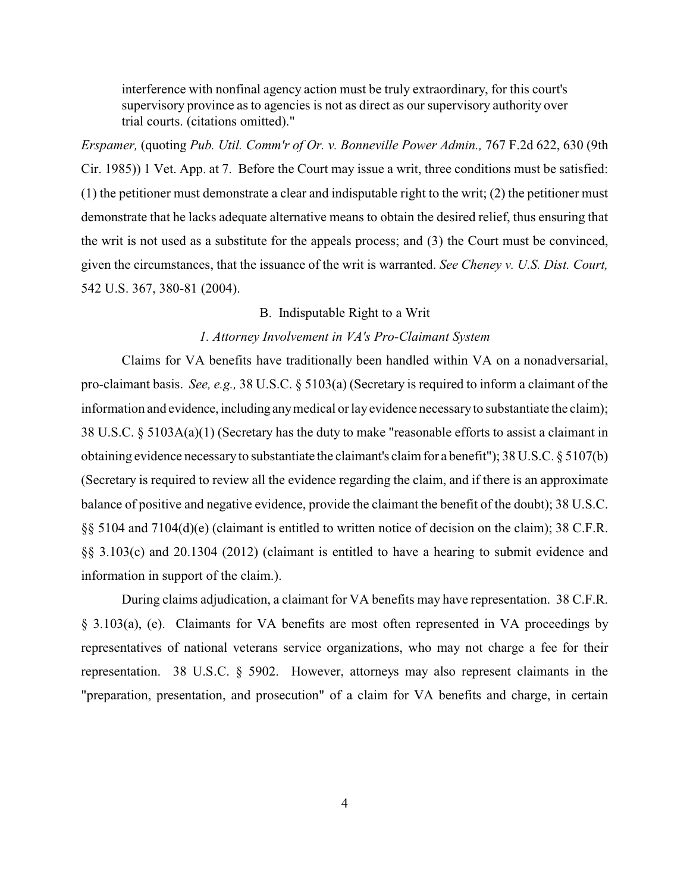interference with nonfinal agency action must be truly extraordinary, for this court's supervisory province as to agencies is not as direct as our supervisory authority over trial courts. (citations omitted)."

*Erspamer,* (quoting *Pub. Util. Comm'r of Or. v. Bonneville Power Admin.,* 767 F.2d 622, 630 (9th Cir. 1985)) 1 Vet. App. at 7. Before the Court may issue a writ, three conditions must be satisfied: (1) the petitioner must demonstrate a clear and indisputable right to the writ; (2) the petitioner must demonstrate that he lacks adequate alternative means to obtain the desired relief, thus ensuring that the writ is not used as a substitute for the appeals process; and (3) the Court must be convinced, given the circumstances, that the issuance of the writ is warranted. *See Cheney v. U.S. Dist. Court,* 542 U.S. 367, 380-81 (2004).

# B. Indisputable Right to a Writ

### *1. Attorney Involvement in VA's Pro-Claimant System*

Claims for VA benefits have traditionally been handled within VA on a nonadversarial, pro-claimant basis. *See, e.g.,* 38 U.S.C. § 5103(a) (Secretary is required to inform a claimant of the information and evidence, includinganymedical or layevidence necessaryto substantiate the claim); 38 U.S.C. § 5103A(a)(1) (Secretary has the duty to make "reasonable efforts to assist a claimant in obtaining evidence necessary to substantiate the claimant's claim for a benefit"); 38 U.S.C. § 5107(b) (Secretary is required to review all the evidence regarding the claim, and if there is an approximate balance of positive and negative evidence, provide the claimant the benefit of the doubt); 38 U.S.C. §§ 5104 and 7104(d)(e) (claimant is entitled to written notice of decision on the claim); 38 C.F.R. §§ 3.103(c) and 20.1304 (2012) (claimant is entitled to have a hearing to submit evidence and information in support of the claim.).

During claims adjudication, a claimant for VA benefits may have representation. 38 C.F.R. § 3.103(a), (e). Claimants for VA benefits are most often represented in VA proceedings by representatives of national veterans service organizations, who may not charge a fee for their representation. 38 U.S.C. § 5902. However, attorneys may also represent claimants in the "preparation, presentation, and prosecution" of a claim for VA benefits and charge, in certain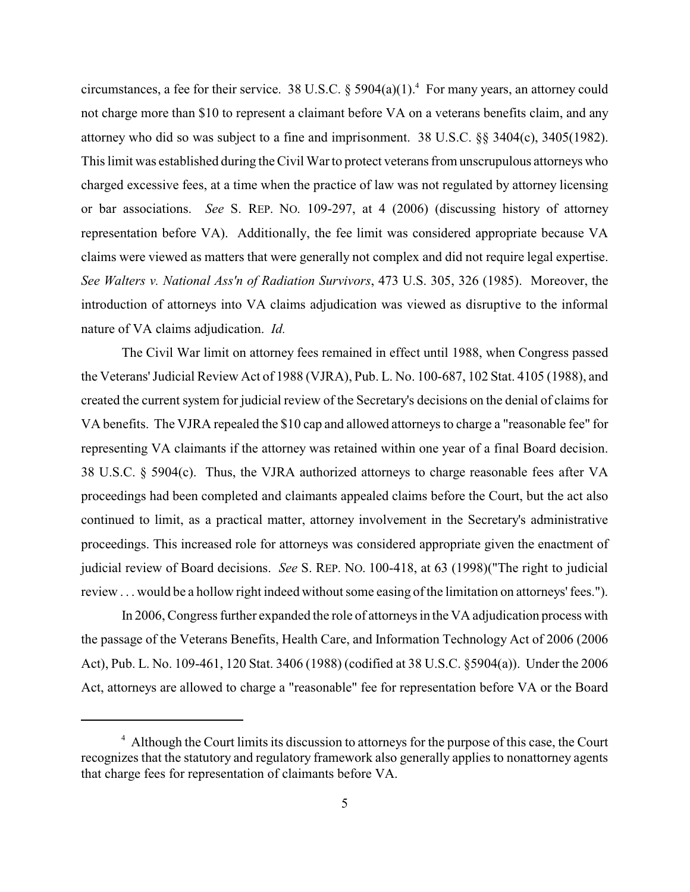circumstances, a fee for their service. 38 U.S.C.  $\S$  5904(a)(1).<sup>4</sup> For many years, an attorney could not charge more than \$10 to represent a claimant before VA on a veterans benefits claim, and any attorney who did so was subject to a fine and imprisonment. 38 U.S.C. §§ 3404(c), 3405(1982). This limit was established during the Civil War to protect veterans from unscrupulous attorneys who charged excessive fees, at a time when the practice of law was not regulated by attorney licensing or bar associations. *See* S. REP. NO. 109-297, at 4 (2006) (discussing history of attorney representation before VA). Additionally, the fee limit was considered appropriate because VA claims were viewed as matters that were generally not complex and did not require legal expertise. *See Walters v. National Ass'n of Radiation Survivors*, 473 U.S. 305, 326 (1985). Moreover, the introduction of attorneys into VA claims adjudication was viewed as disruptive to the informal nature of VA claims adjudication. *Id.*

The Civil War limit on attorney fees remained in effect until 1988, when Congress passed the Veterans'Judicial Review Act of 1988 (VJRA), Pub. L. No. 100-687, 102 Stat. 4105 (1988), and created the current system for judicial review of the Secretary's decisions on the denial of claims for VA benefits. The VJRA repealed the \$10 cap and allowed attorneys to charge a "reasonable fee" for representing VA claimants if the attorney was retained within one year of a final Board decision. 38 U.S.C. § 5904(c). Thus, the VJRA authorized attorneys to charge reasonable fees after VA proceedings had been completed and claimants appealed claims before the Court, but the act also continued to limit, as a practical matter, attorney involvement in the Secretary's administrative proceedings. This increased role for attorneys was considered appropriate given the enactment of judicial review of Board decisions. *See* S. REP. NO. 100-418, at 63 (1998)("The right to judicial review . . . would be a hollow right indeed without some easing of the limitation on attorneys'fees.").

In 2006, Congress further expanded the role of attorneys in the VA adjudication process with the passage of the Veterans Benefits, Health Care, and Information Technology Act of 2006 (2006 Act), Pub. L. No. 109-461, 120 Stat. 3406 (1988) (codified at 38 U.S.C. §5904(a)). Under the 2006 Act, attorneys are allowed to charge a "reasonable" fee for representation before VA or the Board

<sup>&</sup>lt;sup>4</sup> Although the Court limits its discussion to attorneys for the purpose of this case, the Court recognizes that the statutory and regulatory framework also generally applies to nonattorney agents that charge fees for representation of claimants before VA.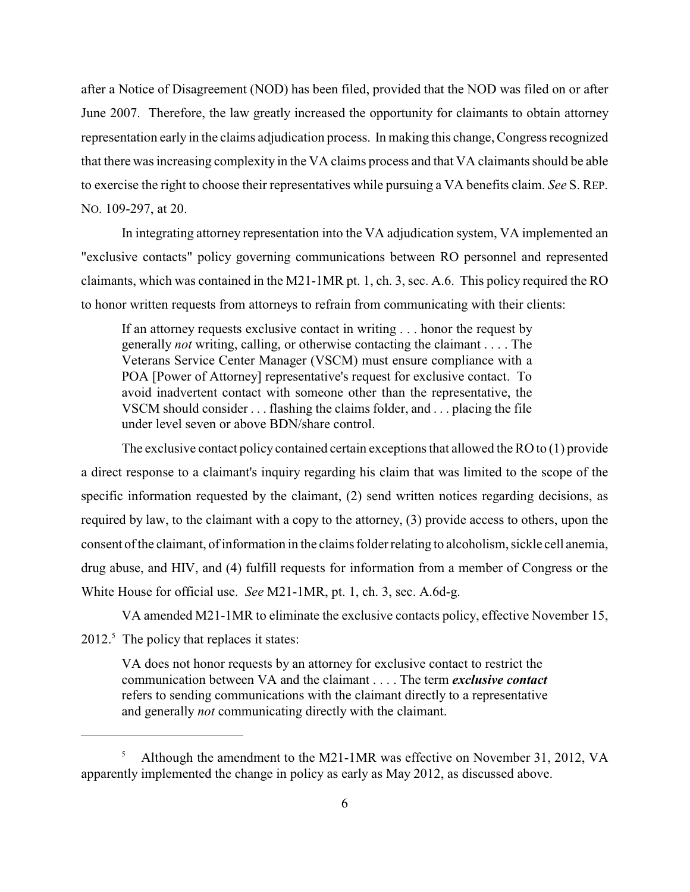after a Notice of Disagreement (NOD) has been filed, provided that the NOD was filed on or after June 2007. Therefore, the law greatly increased the opportunity for claimants to obtain attorney representation early in the claims adjudication process. In making this change, Congress recognized that there was increasing complexity in the VA claims process and that VA claimants should be able to exercise the right to choose their representatives while pursuing a VA benefits claim. *See* S. REP. NO. 109-297, at 20.

In integrating attorney representation into the VA adjudication system, VA implemented an "exclusive contacts" policy governing communications between RO personnel and represented claimants, which was contained in the M21-1MR pt. 1, ch. 3, sec. A.6. This policy required the RO to honor written requests from attorneys to refrain from communicating with their clients:

If an attorney requests exclusive contact in writing . . . honor the request by generally *not* writing, calling, or otherwise contacting the claimant . . . . The Veterans Service Center Manager (VSCM) must ensure compliance with a POA [Power of Attorney] representative's request for exclusive contact. To avoid inadvertent contact with someone other than the representative, the VSCM should consider . . . flashing the claims folder, and . . . placing the file under level seven or above BDN/share control.

The exclusive contact policy contained certain exceptions that allowed the RO to (1) provide a direct response to a claimant's inquiry regarding his claim that was limited to the scope of the specific information requested by the claimant, (2) send written notices regarding decisions, as required by law, to the claimant with a copy to the attorney, (3) provide access to others, upon the consent of the claimant, of information in the claims folder relating to alcoholism, sickle cell anemia, drug abuse, and HIV, and (4) fulfill requests for information from a member of Congress or the White House for official use. *See* M21-1MR, pt. 1, ch. 3, sec. A.6d-g.

VA amended M21-1MR to eliminate the exclusive contacts policy, effective November 15,

 $2012<sup>5</sup>$ . The policy that replaces it states:

VA does not honor requests by an attorney for exclusive contact to restrict the communication between VA and the claimant . . . . The term *exclusive contact* refers to sending communications with the claimant directly to a representative and generally *not* communicating directly with the claimant.

Although the amendment to the M21-1MR was effective on November 31, 2012, VA apparently implemented the change in policy as early as May 2012, as discussed above.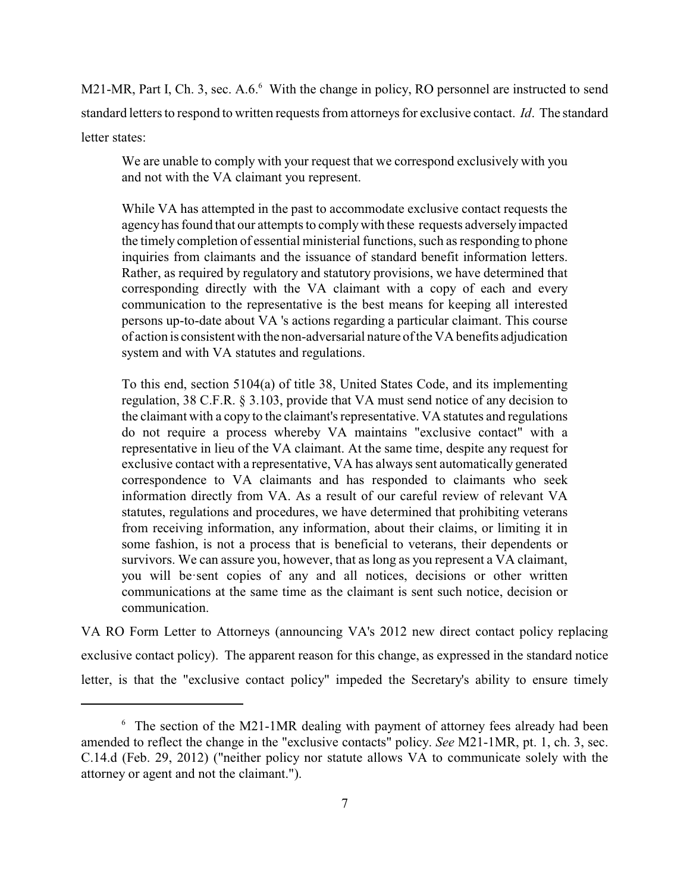M21-MR, Part I, Ch. 3, sec. A.6.<sup>6</sup> With the change in policy, RO personnel are instructed to send standard letters to respond to written requests from attorneys for exclusive contact. *Id*. The standard

letter states:

We are unable to comply with your request that we correspond exclusively with you and not with the VA claimant you represent.

While VA has attempted in the past to accommodate exclusive contact requests the agencyhas found that our attempts to complywith these requests adverselyimpacted the timely completion of essential ministerial functions, such as responding to phone inquiries from claimants and the issuance of standard benefit information letters. Rather, as required by regulatory and statutory provisions, we have determined that corresponding directly with the VA claimant with a copy of each and every communication to the representative is the best means for keeping all interested persons up-to-date about VA 's actions regarding a particular claimant. This course of action is consistent with the non-adversarial nature of the VA benefits adjudication system and with VA statutes and regulations.

To this end, section 5104(a) of title 38, United States Code, and its implementing regulation, 38 C.F.R. § 3.103, provide that VA must send notice of any decision to the claimant with a copy to the claimant's representative. VA statutes and regulations do not require a process whereby VA maintains "exclusive contact" with a representative in lieu of the VA claimant. At the same time, despite any request for exclusive contact with a representative, VA has always sent automatically generated correspondence to VA claimants and has responded to claimants who seek information directly from VA. As a result of our careful review of relevant VA statutes, regulations and procedures, we have determined that prohibiting veterans from receiving information, any information, about their claims, or limiting it in some fashion, is not a process that is beneficial to veterans, their dependents or survivors. We can assure you, however, that as long as you represent a VA claimant, you will be·sent copies of any and all notices, decisions or other written communications at the same time as the claimant is sent such notice, decision or communication.

VA RO Form Letter to Attorneys (announcing VA's 2012 new direct contact policy replacing exclusive contact policy). The apparent reason for this change, as expressed in the standard notice letter, is that the "exclusive contact policy" impeded the Secretary's ability to ensure timely

 $6\text{ The section of the M21-1MR dealing with payment of at- 16m.}$  The section of the M21-1MR dealing with payment of attorney fees already had been amended to reflect the change in the "exclusive contacts" policy. *See* M21-1MR, pt. 1, ch. 3, sec. C.14.d (Feb. 29, 2012) ("neither policy nor statute allows VA to communicate solely with the attorney or agent and not the claimant.").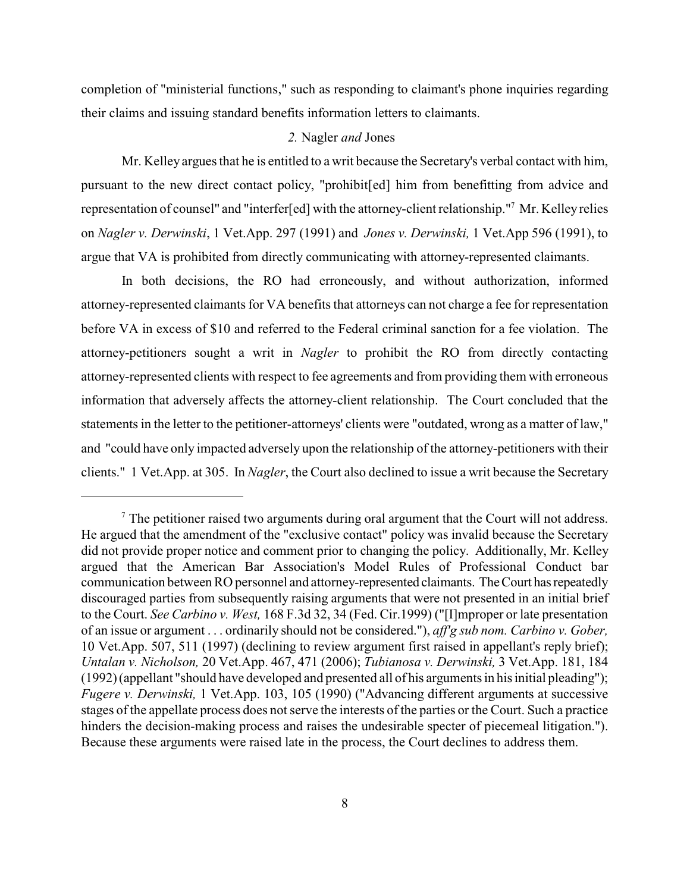completion of "ministerial functions," such as responding to claimant's phone inquiries regarding their claims and issuing standard benefits information letters to claimants.

### *2.* Nagler *and* Jones

Mr. Kelley argues that he is entitled to a writ because the Secretary's verbal contact with him, pursuant to the new direct contact policy, "prohibit[ed] him from benefitting from advice and representation of counsel" and "interfer[ed] with the attorney-client relationship."<sup>7</sup> Mr. Kelley relies on *Nagler v. Derwinski*, 1 Vet.App. 297 (1991) and *Jones v. Derwinski,* 1 Vet.App 596 (1991), to argue that VA is prohibited from directly communicating with attorney-represented claimants.

In both decisions, the RO had erroneously, and without authorization, informed attorney-represented claimants for VA benefits that attorneys can not charge a fee for representation before VA in excess of \$10 and referred to the Federal criminal sanction for a fee violation. The attorney-petitioners sought a writ in *Nagler* to prohibit the RO from directly contacting attorney-represented clients with respect to fee agreements and from providing them with erroneous information that adversely affects the attorney-client relationship. The Court concluded that the statements in the letter to the petitioner-attorneys' clients were "outdated, wrong as a matter of law," and "could have only impacted adversely upon the relationship of the attorney-petitioners with their clients." 1 Vet.App. at 305. In *Nagler*, the Court also declined to issue a writ because the Secretary

 $\alpha$  The petitioner raised two arguments during oral argument that the Court will not address. He argued that the amendment of the "exclusive contact" policy was invalid because the Secretary did not provide proper notice and comment prior to changing the policy. Additionally, Mr. Kelley argued that the American Bar Association's Model Rules of Professional Conduct bar communication between RO personnel and attorney-represented claimants. TheCourt hasrepeatedly discouraged parties from subsequently raising arguments that were not presented in an initial brief to the Court. *See Carbino v. West,* 168 F.3d 32, 34 (Fed. Cir.1999) ("[I]mproper or late presentation of an issue or argument . . . ordinarily should not be considered."), *aff'g sub nom. Carbino v. Gober,* 10 Vet.App. 507, 511 (1997) (declining to review argument first raised in appellant's reply brief); *Untalan v. Nicholson,* 20 Vet.App. 467, 471 (2006); *Tubianosa v. Derwinski,* 3 Vet.App. 181, 184 (1992) (appellant "should have developed and presented all of his arguments in his initial pleading"); *Fugere v. Derwinski,* 1 Vet.App. 103, 105 (1990) ("Advancing different arguments at successive stages of the appellate process does not serve the interests of the parties or the Court. Such a practice hinders the decision-making process and raises the undesirable specter of piecemeal litigation."). Because these arguments were raised late in the process, the Court declines to address them.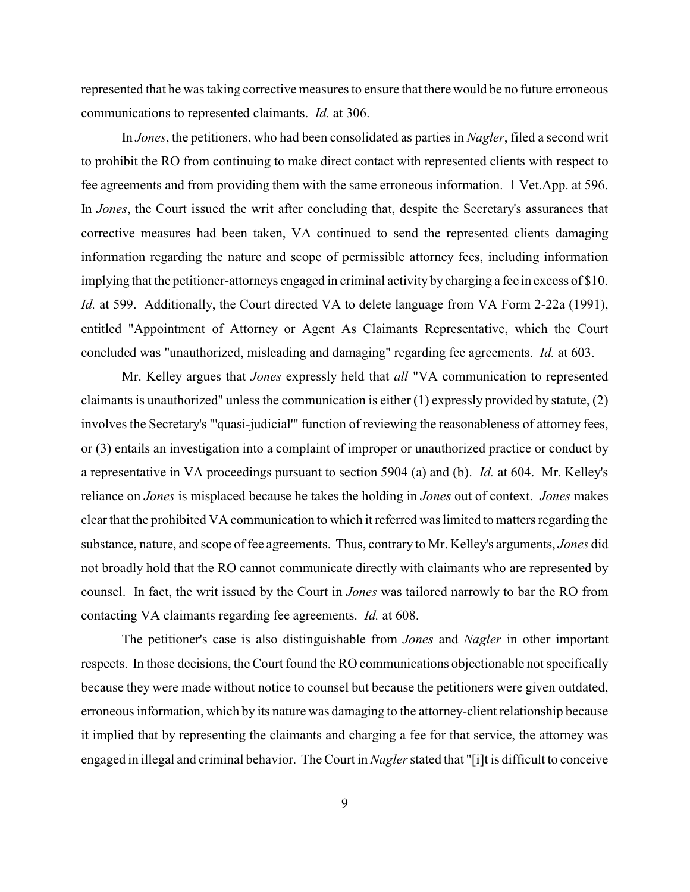represented that he was taking corrective measures to ensure that there would be no future erroneous communications to represented claimants. *Id.* at 306.

In *Jones*, the petitioners, who had been consolidated as parties in *Nagler*, filed a second writ to prohibit the RO from continuing to make direct contact with represented clients with respect to fee agreements and from providing them with the same erroneous information. 1 Vet.App. at 596. In *Jones*, the Court issued the writ after concluding that, despite the Secretary's assurances that corrective measures had been taken, VA continued to send the represented clients damaging information regarding the nature and scope of permissible attorney fees, including information implying that the petitioner-attorneys engaged in criminal activity by charging a fee in excess of \$10. *Id.* at 599. Additionally, the Court directed VA to delete language from VA Form 2-22a (1991), entitled "Appointment of Attorney or Agent As Claimants Representative, which the Court concluded was "unauthorized, misleading and damaging" regarding fee agreements. *Id.* at 603.

Mr. Kelley argues that *Jones* expressly held that *all* "VA communication to represented claimants is unauthorized" unless the communication is either (1) expressly provided by statute, (2) involves the Secretary's "'quasi-judicial'" function of reviewing the reasonableness of attorney fees, or (3) entails an investigation into a complaint of improper or unauthorized practice or conduct by a representative in VA proceedings pursuant to section 5904 (a) and (b). *Id.* at 604. Mr. Kelley's reliance on *Jones* is misplaced because he takes the holding in *Jones* out of context. *Jones* makes clear that the prohibited VA communication to which it referred was limited to matters regarding the substance, nature, and scope of fee agreements. Thus, contrary to Mr. Kelley's arguments, *Jones* did not broadly hold that the RO cannot communicate directly with claimants who are represented by counsel. In fact, the writ issued by the Court in *Jones* was tailored narrowly to bar the RO from contacting VA claimants regarding fee agreements. *Id.* at 608.

The petitioner's case is also distinguishable from *Jones* and *Nagler* in other important respects. In those decisions, the Court found the RO communications objectionable not specifically because they were made without notice to counsel but because the petitioners were given outdated, erroneous information, which by its nature was damaging to the attorney-client relationship because it implied that by representing the claimants and charging a fee for that service, the attorney was engaged in illegal and criminal behavior. The Court in *Nagler*stated that "[i]t is difficult to conceive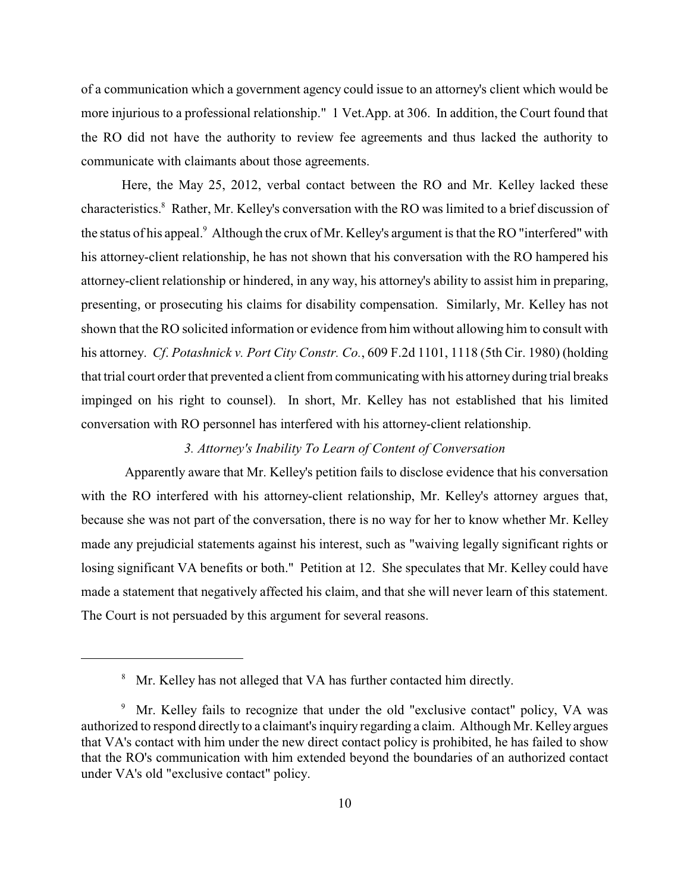of a communication which a government agency could issue to an attorney's client which would be more injurious to a professional relationship." 1 Vet.App. at 306. In addition, the Court found that the RO did not have the authority to review fee agreements and thus lacked the authority to communicate with claimants about those agreements.

Here, the May 25, 2012, verbal contact between the RO and Mr. Kelley lacked these characteristics.<sup>8</sup> Rather, Mr. Kelley's conversation with the RO was limited to a brief discussion of the status of his appeal.<sup>9</sup> Although the crux of Mr. Kelley's argument is that the RO "interfered" with his attorney-client relationship, he has not shown that his conversation with the RO hampered his attorney-client relationship or hindered, in any way, his attorney's ability to assist him in preparing, presenting, or prosecuting his claims for disability compensation. Similarly, Mr. Kelley has not shown that the RO solicited information or evidence from him without allowing him to consult with his attorney. *Cf*. *Potashnick v. Port City Constr. Co.*, 609 F.2d 1101, 1118 (5th Cir. 1980) (holding that trial court order that prevented a client from communicating with his attorney during trial breaks impinged on his right to counsel). In short, Mr. Kelley has not established that his limited conversation with RO personnel has interfered with his attorney-client relationship.

# *3. Attorney's Inability To Learn of Content of Conversation*

Apparently aware that Mr. Kelley's petition fails to disclose evidence that his conversation with the RO interfered with his attorney-client relationship, Mr. Kelley's attorney argues that, because she was not part of the conversation, there is no way for her to know whether Mr. Kelley made any prejudicial statements against his interest, such as "waiving legally significant rights or losing significant VA benefits or both." Petition at 12. She speculates that Mr. Kelley could have made a statement that negatively affected his claim, and that she will never learn of this statement. The Court is not persuaded by this argument for several reasons.

<sup>&</sup>lt;sup>8</sup> Mr. Kelley has not alleged that VA has further contacted him directly.

<sup>&</sup>lt;sup>9</sup> Mr. Kelley fails to recognize that under the old "exclusive contact" policy, VA was authorized to respond directly to a claimant's inquiry regarding a claim. Although Mr. Kelley argues that VA's contact with him under the new direct contact policy is prohibited, he has failed to show that the RO's communication with him extended beyond the boundaries of an authorized contact under VA's old "exclusive contact" policy.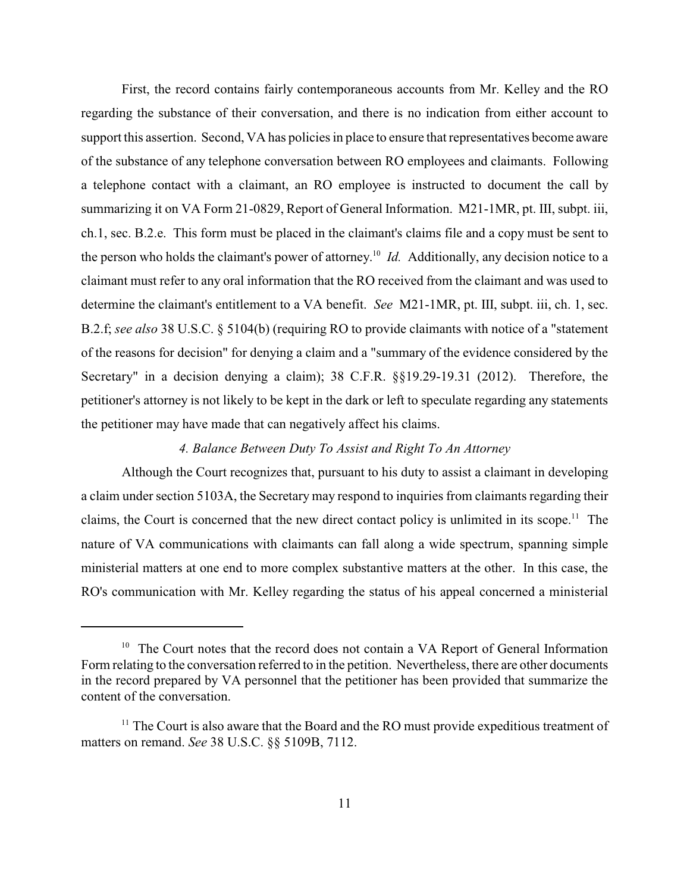First, the record contains fairly contemporaneous accounts from Mr. Kelley and the RO regarding the substance of their conversation, and there is no indication from either account to support this assertion. Second, VA has policies in place to ensure that representatives become aware of the substance of any telephone conversation between RO employees and claimants. Following a telephone contact with a claimant, an RO employee is instructed to document the call by summarizing it on VA Form 21-0829, Report of General Information. M21-1MR, pt. III, subpt. iii, ch.1, sec. B.2.e. This form must be placed in the claimant's claims file and a copy must be sent to the person who holds the claimant's power of attorney.<sup>10</sup> *Id*. Additionally, any decision notice to a claimant must refer to any oral information that the RO received from the claimant and was used to determine the claimant's entitlement to a VA benefit. *See* M21-1MR, pt. III, subpt. iii, ch. 1, sec. B.2.f; *see also* 38 U.S.C. § 5104(b) (requiring RO to provide claimants with notice of a "statement of the reasons for decision" for denying a claim and a "summary of the evidence considered by the Secretary" in a decision denying a claim); 38 C.F.R. §§19.29-19.31 (2012). Therefore, the petitioner's attorney is not likely to be kept in the dark or left to speculate regarding any statements the petitioner may have made that can negatively affect his claims.

# *4. Balance Between Duty To Assist and Right To An Attorney*

Although the Court recognizes that, pursuant to his duty to assist a claimant in developing a claim under section 5103A, the Secretary may respond to inquiries from claimants regarding their claims, the Court is concerned that the new direct contact policy is unlimited in its scope.<sup>11</sup> The nature of VA communications with claimants can fall along a wide spectrum, spanning simple ministerial matters at one end to more complex substantive matters at the other. In this case, the RO's communication with Mr. Kelley regarding the status of his appeal concerned a ministerial

 $10$  The Court notes that the record does not contain a VA Report of General Information Form relating to the conversation referred to in the petition. Nevertheless, there are other documents in the record prepared by VA personnel that the petitioner has been provided that summarize the content of the conversation.

 $<sup>11</sup>$  The Court is also aware that the Board and the RO must provide expeditious treatment of</sup> matters on remand. *See* 38 U.S.C. §§ 5109B, 7112.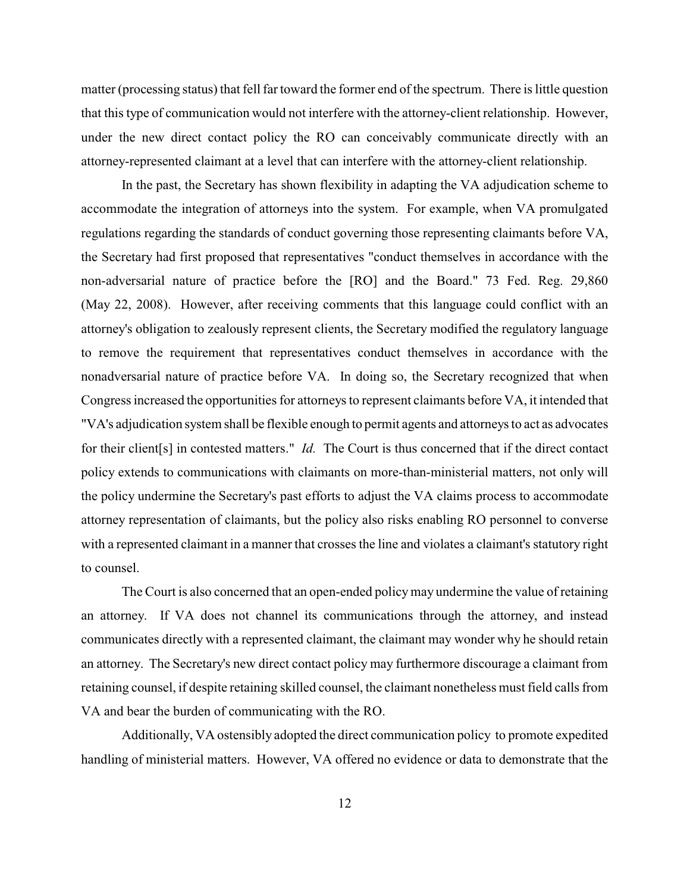matter (processing status) that fell fartoward the former end of the spectrum. There is little question that this type of communication would not interfere with the attorney-client relationship. However, under the new direct contact policy the RO can conceivably communicate directly with an attorney-represented claimant at a level that can interfere with the attorney-client relationship.

In the past, the Secretary has shown flexibility in adapting the VA adjudication scheme to accommodate the integration of attorneys into the system. For example, when VA promulgated regulations regarding the standards of conduct governing those representing claimants before VA, the Secretary had first proposed that representatives "conduct themselves in accordance with the non-adversarial nature of practice before the [RO] and the Board." 73 Fed. Reg. 29,860 (May 22, 2008). However, after receiving comments that this language could conflict with an attorney's obligation to zealously represent clients, the Secretary modified the regulatory language to remove the requirement that representatives conduct themselves in accordance with the nonadversarial nature of practice before VA. In doing so, the Secretary recognized that when Congress increased the opportunities for attorneys to represent claimants before VA, it intended that "VA's adjudication system shall be flexible enough to permit agents and attorneys to act as advocates for their client[s] in contested matters." *Id.* The Court is thus concerned that if the direct contact policy extends to communications with claimants on more-than-ministerial matters, not only will the policy undermine the Secretary's past efforts to adjust the VA claims process to accommodate attorney representation of claimants, but the policy also risks enabling RO personnel to converse with a represented claimant in a manner that crosses the line and violates a claimant's statutory right to counsel.

The Court is also concerned that an open-ended policymay undermine the value of retaining an attorney. If VA does not channel its communications through the attorney, and instead communicates directly with a represented claimant, the claimant may wonder why he should retain an attorney. The Secretary's new direct contact policy may furthermore discourage a claimant from retaining counsel, if despite retaining skilled counsel, the claimant nonetheless must field calls from VA and bear the burden of communicating with the RO.

Additionally, VA ostensibly adopted the direct communication policy to promote expedited handling of ministerial matters. However, VA offered no evidence or data to demonstrate that the